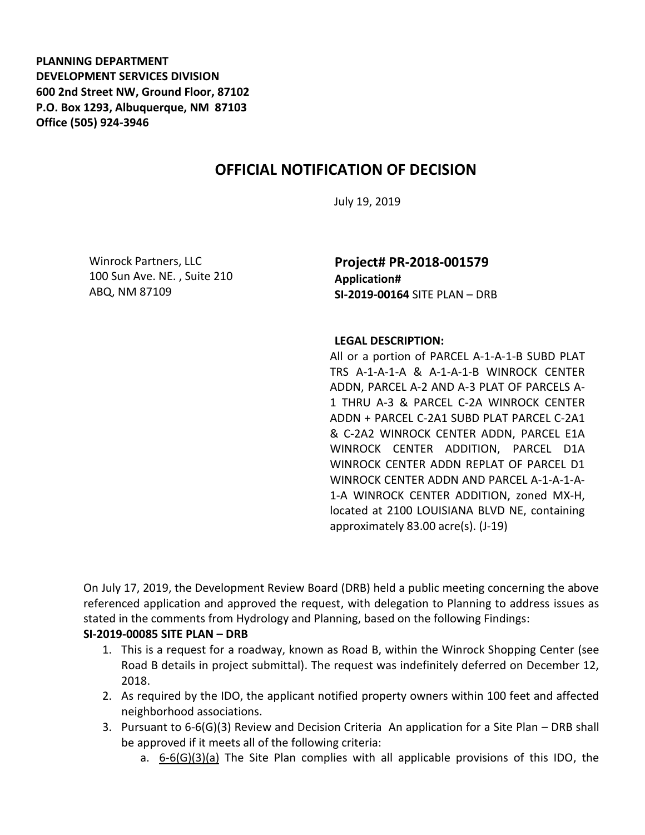**PLANNING DEPARTMENT DEVELOPMENT SERVICES DIVISION 600 2nd Street NW, Ground Floor, 87102 P.O. Box 1293, Albuquerque, NM 87103 Office (505) 924-3946** 

## **OFFICIAL NOTIFICATION OF DECISION**

July 19, 2019

Winrock Partners, LLC 100 Sun Ave. NE. , Suite 210 ABQ, NM 87109

**Project# PR-2018-001579 Application# SI-2019-00164** SITE PLAN – DRB

## **LEGAL DESCRIPTION:**

All or a portion of PARCEL A-1-A-1-B SUBD PLAT TRS A-1-A-1-A & A-1-A-1-B WINROCK CENTER ADDN, PARCEL A-2 AND A-3 PLAT OF PARCELS A-1 THRU A-3 & PARCEL C-2A WINROCK CENTER ADDN + PARCEL C-2A1 SUBD PLAT PARCEL C-2A1 & C-2A2 WINROCK CENTER ADDN, PARCEL E1A WINROCK CENTER ADDITION, PARCEL D1A WINROCK CENTER ADDN REPLAT OF PARCEL D1 WINROCK CENTER ADDN AND PARCEL A-1-A-1-A-1-A WINROCK CENTER ADDITION, zoned MX-H, located at 2100 LOUISIANA BLVD NE, containing approximately 83.00 acre(s). (J-19)

On July 17, 2019, the Development Review Board (DRB) held a public meeting concerning the above referenced application and approved the request, with delegation to Planning to address issues as stated in the comments from Hydrology and Planning, based on the following Findings:

## **SI-2019-00085 SITE PLAN – DRB**

- 1. This is a request for a roadway, known as Road B, within the Winrock Shopping Center (see Road B details in project submittal). The request was indefinitely deferred on December 12, 2018.
- 2. As required by the IDO, the applicant notified property owners within 100 feet and affected neighborhood associations.
- 3. Pursuant to 6-6(G)(3) Review and Decision Criteria An application for a Site Plan DRB shall be approved if it meets all of the following criteria:
	- a.  $6-6(6)(3)(a)$  The Site Plan complies with all applicable provisions of this IDO, the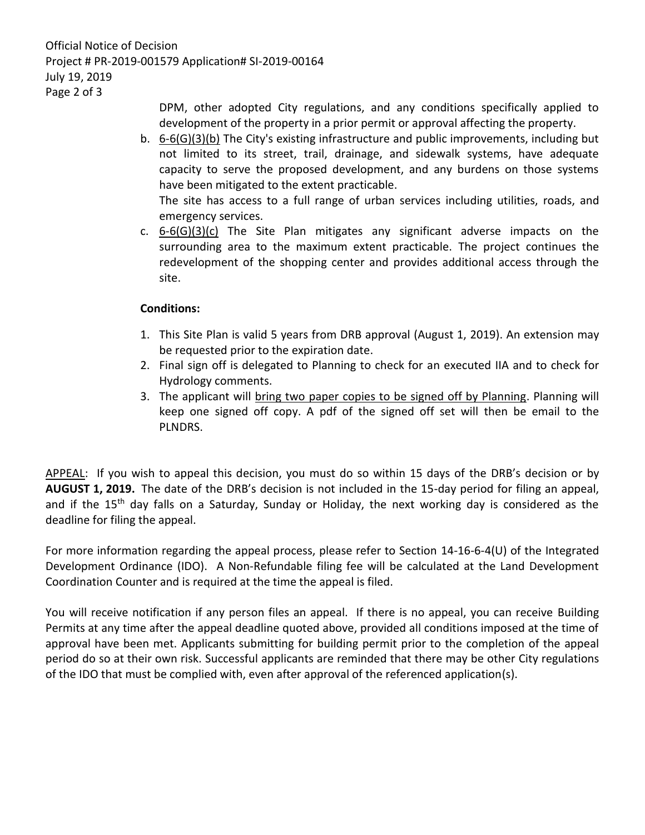Official Notice of Decision Project # PR-2019-001579 Application# SI-2019-00164 July 19, 2019 Page 2 of 3

> DPM, other adopted City regulations, and any conditions specifically applied to development of the property in a prior permit or approval affecting the property.

b. 6-6(G)(3)(b) The City's existing infrastructure and public improvements, including but not limited to its street, trail, drainage, and sidewalk systems, have adequate capacity to serve the proposed development, and any burdens on those systems have been mitigated to the extent practicable.

The site has access to a full range of urban services including utilities, roads, and emergency services.

c.  $6-6(G)(3)(c)$  The Site Plan mitigates any significant adverse impacts on the surrounding area to the maximum extent practicable. The project continues the redevelopment of the shopping center and provides additional access through the site.

## **Conditions:**

- 1. This Site Plan is valid 5 years from DRB approval (August 1, 2019). An extension may be requested prior to the expiration date.
- 2. Final sign off is delegated to Planning to check for an executed IIA and to check for Hydrology comments.
- 3. The applicant will bring two paper copies to be signed off by Planning. Planning will keep one signed off copy. A pdf of the signed off set will then be email to the PLNDRS.

APPEAL: If you wish to appeal this decision, you must do so within 15 days of the DRB's decision or by **AUGUST 1, 2019.** The date of the DRB's decision is not included in the 15-day period for filing an appeal, and if the 15<sup>th</sup> day falls on a Saturday, Sunday or Holiday, the next working day is considered as the deadline for filing the appeal.

For more information regarding the appeal process, please refer to Section 14-16-6-4(U) of the Integrated Development Ordinance (IDO). A Non-Refundable filing fee will be calculated at the Land Development Coordination Counter and is required at the time the appeal is filed.

You will receive notification if any person files an appeal. If there is no appeal, you can receive Building Permits at any time after the appeal deadline quoted above, provided all conditions imposed at the time of approval have been met. Applicants submitting for building permit prior to the completion of the appeal period do so at their own risk. Successful applicants are reminded that there may be other City regulations of the IDO that must be complied with, even after approval of the referenced application(s).